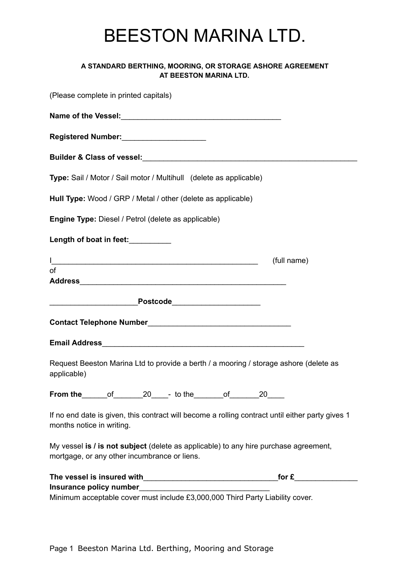## BEESTON MARINA LTD.

## **A STANDARD BERTHING, MOORING, OR STORAGE ASHORE AGREEMENT AT BEESTON MARINA LTD.**

| (Please complete in printed capitals)                                                                                                |                      |
|--------------------------------------------------------------------------------------------------------------------------------------|----------------------|
|                                                                                                                                      |                      |
| Registered Number: Manual Manual Manual Manual Manual                                                                                |                      |
|                                                                                                                                      |                      |
| Type: Sail / Motor / Sail motor / Multihull (delete as applicable)                                                                   |                      |
| Hull Type: Wood / GRP / Metal / other (delete as applicable)                                                                         |                      |
| Engine Type: Diesel / Petrol (delete as applicable)                                                                                  |                      |
| Length of boat in feet:__________                                                                                                    |                      |
| <u> 1989 - Johann John Stein, markin sammen beskriver og det større og store og store og store og store og s</u>                     | (full name)          |
| of                                                                                                                                   |                      |
|                                                                                                                                      |                      |
|                                                                                                                                      |                      |
| Email Address 2008 2009 2010 2020 2021 2022 2023 2024 2022 2023 2024 2022 2023 2024 2022 2023 2024 2022 2023 20                      |                      |
| Request Beeston Marina Ltd to provide a berth / a mooring / storage ashore (delete as<br>applicable)                                 |                      |
| From the _______of __________________________ to the __________of ______________                                                     | $20$ <sub>____</sub> |
| If no end date is given, this contract will become a rolling contract until either party gives 1<br>months notice in writing.        |                      |
| My vessel is / is not subject (delete as applicable) to any hire purchase agreement,<br>mortgage, or any other incumbrance or liens. |                      |
|                                                                                                                                      |                      |
|                                                                                                                                      |                      |
| Minimum acceptable cover must include £3,000,000 Third Party Liability cover.                                                        |                      |